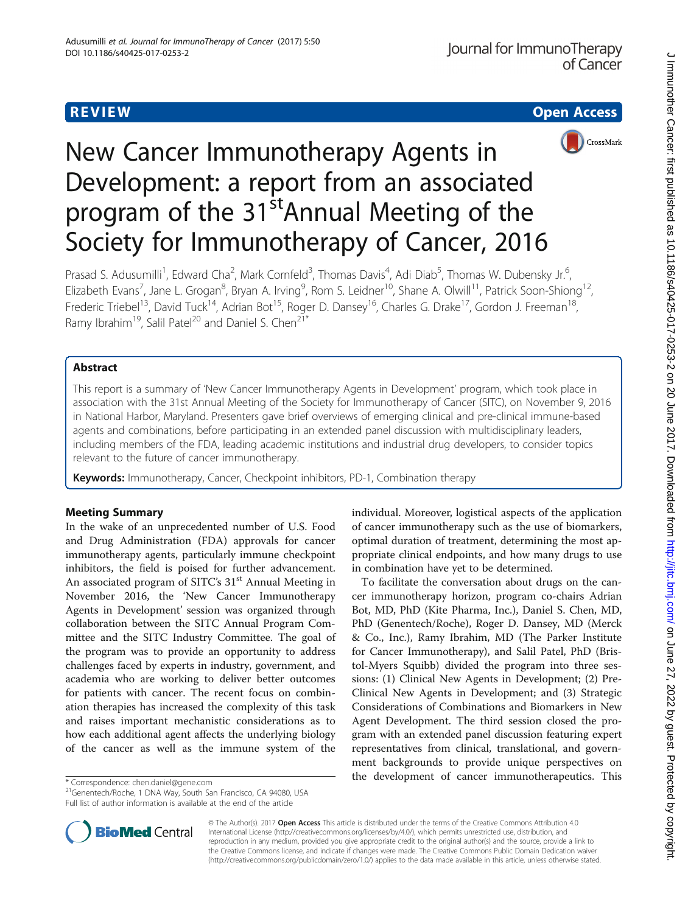## **REVIEW CONSTRUCTION CONSTRUCTION CONSTRUCTS**



# New Cancer Immunotherapy Agents in Development: a report from an associated program of the 31<sup>st</sup>Annual Meeting of the Society for Immunotherapy of Cancer, 2016

Prasad S. Adusumilli<sup>1</sup>, Edward Cha<sup>2</sup>, Mark Cornfeld<sup>3</sup>, Thomas Davis<sup>4</sup>, Adi Diab<sup>5</sup>, Thomas W. Dubensky Jr.<sup>6</sup> י<br>, Elizabeth Evans<sup>7</sup>, Jane L. Grogan<sup>8</sup>, Bryan A. Irving<sup>9</sup>, Rom S. Leidner<sup>10</sup>, Shane A. Olwill<sup>11</sup>, Patrick Soon-Shiong<sup>12</sup>, Frederic Triebel<sup>13</sup>, David Tuck<sup>14</sup>, Adrian Bot<sup>15</sup>, Roger D. Dansey<sup>16</sup>, Charles G. Drake<sup>17</sup>, Gordon J. Freeman<sup>18</sup>, Ramy Ibrahim<sup>19</sup>, Salil Patel<sup>20</sup> and Daniel S. Chen<sup>21\*</sup>

## Abstract

This report is a summary of 'New Cancer Immunotherapy Agents in Development' program, which took place in association with the 31st Annual Meeting of the Society for Immunotherapy of Cancer (SITC), on November 9, 2016 in National Harbor, Maryland. Presenters gave brief overviews of emerging clinical and pre-clinical immune-based agents and combinations, before participating in an extended panel discussion with multidisciplinary leaders, including members of the FDA, leading academic institutions and industrial drug developers, to consider topics relevant to the future of cancer immunotherapy.

Keywords: Immunotherapy, Cancer, Checkpoint inhibitors, PD-1, Combination therapy

## Meeting Summary

In the wake of an unprecedented number of U.S. Food and Drug Administration (FDA) approvals for cancer immunotherapy agents, particularly immune checkpoint inhibitors, the field is poised for further advancement. An associated program of SITC's 31<sup>st</sup> Annual Meeting in November 2016, the 'New Cancer Immunotherapy Agents in Development' session was organized through collaboration between the SITC Annual Program Committee and the SITC Industry Committee. The goal of the program was to provide an opportunity to address challenges faced by experts in industry, government, and academia who are working to deliver better outcomes for patients with cancer. The recent focus on combination therapies has increased the complexity of this task and raises important mechanistic considerations as to how each additional agent affects the underlying biology of the cancer as well as the immune system of the

Full list of author information is available at the end of the article



To facilitate the conversation about drugs on the cancer immunotherapy horizon, program co-chairs Adrian Bot, MD, PhD (Kite Pharma, Inc.), Daniel S. Chen, MD, PhD (Genentech/Roche), Roger D. Dansey, MD (Merck & Co., Inc.), Ramy Ibrahim, MD (The Parker Institute for Cancer Immunotherapy), and Salil Patel, PhD (Bristol-Myers Squibb) divided the program into three sessions: (1) Clinical New Agents in Development; (2) Pre-Clinical New Agents in Development; and (3) Strategic Considerations of Combinations and Biomarkers in New Agent Development. The third session closed the program with an extended panel discussion featuring expert representatives from clinical, translational, and government backgrounds to provide unique perspectives on the development of cancer immunotherapeutics. This \* Correspondence: [chen.daniel@gene.com](mailto:chen.daniel@gene.com) 21Genentech/Roche, 1 DNA Way, South San Francisco, CA 94080, USA



© The Author(s). 2017 **Open Access** This article is distributed under the terms of the Creative Commons Attribution 4.0 International License [\(http://creativecommons.org/licenses/by/4.0/](http://creativecommons.org/licenses/by/4.0/)), which permits unrestricted use, distribution, and reproduction in any medium, provided you give appropriate credit to the original author(s) and the source, provide a link to the Creative Commons license, and indicate if changes were made. The Creative Commons Public Domain Dedication waiver [\(http://creativecommons.org/publicdomain/zero/1.0/](http://creativecommons.org/publicdomain/zero/1.0/)) applies to the data made available in this article, unless otherwise stated.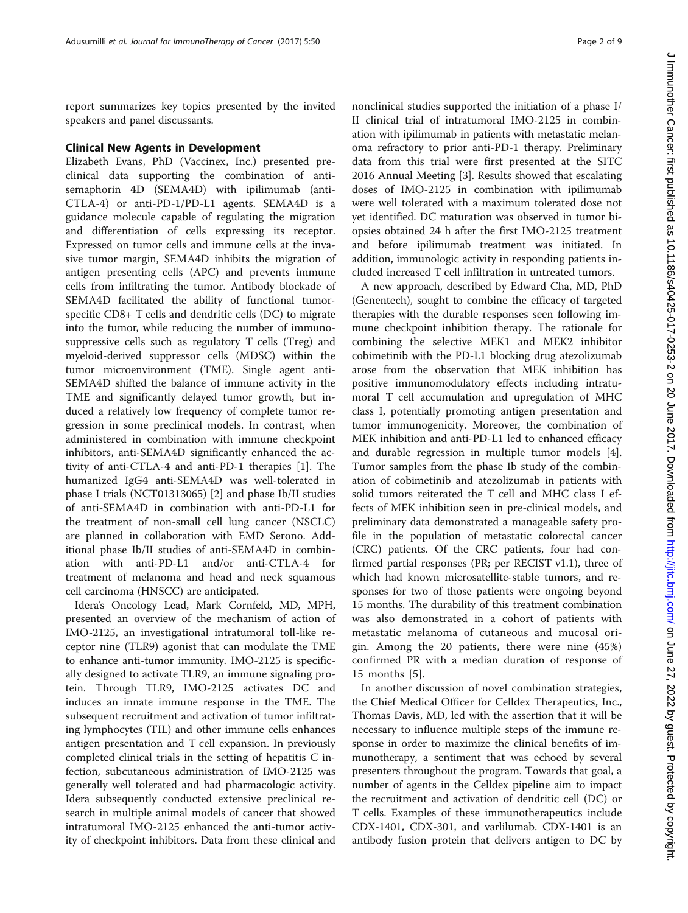report summarizes key topics presented by the invited speakers and panel discussants.

#### Clinical New Agents in Development

Elizabeth Evans, PhD (Vaccinex, Inc.) presented preclinical data supporting the combination of antisemaphorin 4D (SEMA4D) with ipilimumab (anti-CTLA-4) or anti-PD-1/PD-L1 agents. SEMA4D is a guidance molecule capable of regulating the migration and differentiation of cells expressing its receptor. Expressed on tumor cells and immune cells at the invasive tumor margin, SEMA4D inhibits the migration of antigen presenting cells (APC) and prevents immune cells from infiltrating the tumor. Antibody blockade of SEMA4D facilitated the ability of functional tumorspecific CD8+ T cells and dendritic cells (DC) to migrate into the tumor, while reducing the number of immunosuppressive cells such as regulatory T cells (Treg) and myeloid-derived suppressor cells (MDSC) within the tumor microenvironment (TME). Single agent anti-SEMA4D shifted the balance of immune activity in the TME and significantly delayed tumor growth, but induced a relatively low frequency of complete tumor regression in some preclinical models. In contrast, when administered in combination with immune checkpoint inhibitors, anti-SEMA4D significantly enhanced the activity of anti-CTLA-4 and anti-PD-1 therapies [[1\]](#page-7-0). The humanized IgG4 anti-SEMA4D was well-tolerated in phase I trials (NCT01313065) [\[2](#page-7-0)] and phase Ib/II studies of anti-SEMA4D in combination with anti-PD-L1 for the treatment of non-small cell lung cancer (NSCLC) are planned in collaboration with EMD Serono. Additional phase Ib/II studies of anti-SEMA4D in combination with anti-PD-L1 and/or anti-CTLA-4 for treatment of melanoma and head and neck squamous cell carcinoma (HNSCC) are anticipated.

Idera's Oncology Lead, Mark Cornfeld, MD, MPH, presented an overview of the mechanism of action of IMO-2125, an investigational intratumoral toll-like receptor nine (TLR9) agonist that can modulate the TME to enhance anti-tumor immunity. IMO-2125 is specifically designed to activate TLR9, an immune signaling protein. Through TLR9, IMO-2125 activates DC and induces an innate immune response in the TME. The subsequent recruitment and activation of tumor infiltrating lymphocytes (TIL) and other immune cells enhances antigen presentation and T cell expansion. In previously completed clinical trials in the setting of hepatitis C infection, subcutaneous administration of IMO-2125 was generally well tolerated and had pharmacologic activity. Idera subsequently conducted extensive preclinical research in multiple animal models of cancer that showed intratumoral IMO-2125 enhanced the anti-tumor activity of checkpoint inhibitors. Data from these clinical and

nonclinical studies supported the initiation of a phase I/ II clinical trial of intratumoral IMO-2125 in combination with ipilimumab in patients with metastatic melanoma refractory to prior anti-PD-1 therapy. Preliminary data from this trial were first presented at the SITC 2016 Annual Meeting [\[3](#page-7-0)]. Results showed that escalating doses of IMO-2125 in combination with ipilimumab were well tolerated with a maximum tolerated dose not yet identified. DC maturation was observed in tumor biopsies obtained 24 h after the first IMO-2125 treatment and before ipilimumab treatment was initiated. In addition, immunologic activity in responding patients included increased T cell infiltration in untreated tumors.

A new approach, described by Edward Cha, MD, PhD (Genentech), sought to combine the efficacy of targeted therapies with the durable responses seen following immune checkpoint inhibition therapy. The rationale for combining the selective MEK1 and MEK2 inhibitor cobimetinib with the PD-L1 blocking drug atezolizumab arose from the observation that MEK inhibition has positive immunomodulatory effects including intratumoral T cell accumulation and upregulation of MHC class I, potentially promoting antigen presentation and tumor immunogenicity. Moreover, the combination of MEK inhibition and anti-PD-L1 led to enhanced efficacy and durable regression in multiple tumor models [\[4](#page-7-0)]. Tumor samples from the phase Ib study of the combination of cobimetinib and atezolizumab in patients with solid tumors reiterated the T cell and MHC class I effects of MEK inhibition seen in pre-clinical models, and preliminary data demonstrated a manageable safety profile in the population of metastatic colorectal cancer (CRC) patients. Of the CRC patients, four had confirmed partial responses (PR; per RECIST v1.1), three of which had known microsatellite-stable tumors, and responses for two of those patients were ongoing beyond 15 months. The durability of this treatment combination was also demonstrated in a cohort of patients with metastatic melanoma of cutaneous and mucosal origin. Among the 20 patients, there were nine (45%) confirmed PR with a median duration of response of 15 months [\[5](#page-7-0)].

In another discussion of novel combination strategies, the Chief Medical Officer for Celldex Therapeutics, Inc., Thomas Davis, MD, led with the assertion that it will be necessary to influence multiple steps of the immune response in order to maximize the clinical benefits of immunotherapy, a sentiment that was echoed by several presenters throughout the program. Towards that goal, a number of agents in the Celldex pipeline aim to impact the recruitment and activation of dendritic cell (DC) or T cells. Examples of these immunotherapeutics include CDX-1401, CDX-301, and varlilumab. CDX-1401 is an antibody fusion protein that delivers antigen to DC by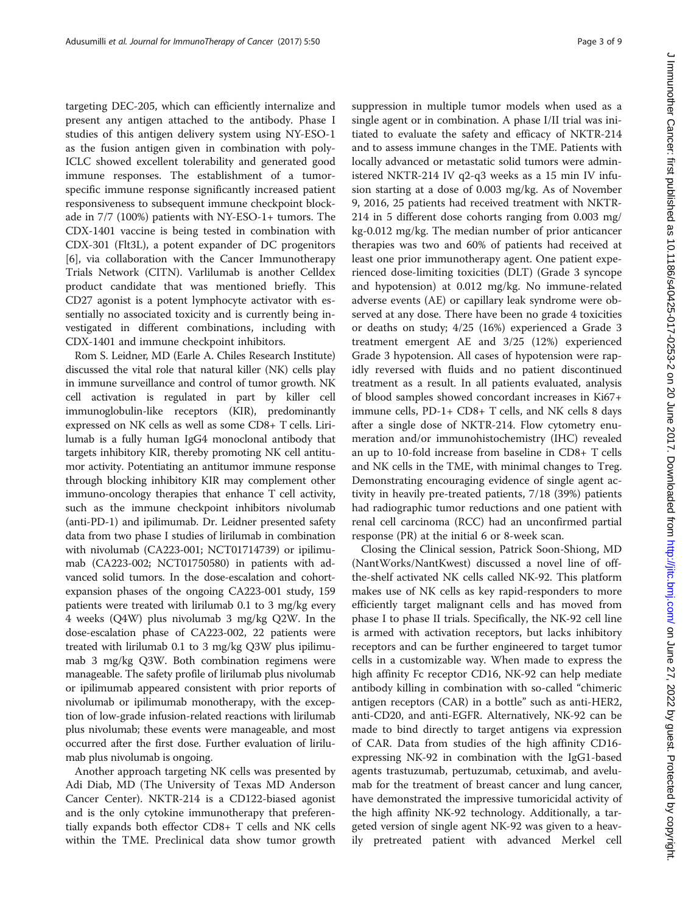targeting DEC-205, which can efficiently internalize and present any antigen attached to the antibody. Phase I studies of this antigen delivery system using NY-ESO-1 as the fusion antigen given in combination with poly-ICLC showed excellent tolerability and generated good immune responses. The establishment of a tumorspecific immune response significantly increased patient responsiveness to subsequent immune checkpoint blockade in 7/7 (100%) patients with NY-ESO-1+ tumors. The CDX-1401 vaccine is being tested in combination with CDX-301 (Flt3L), a potent expander of DC progenitors [[6\]](#page-7-0), via collaboration with the Cancer Immunotherapy Trials Network (CITN). Varlilumab is another Celldex product candidate that was mentioned briefly. This CD27 agonist is a potent lymphocyte activator with essentially no associated toxicity and is currently being investigated in different combinations, including with CDX-1401 and immune checkpoint inhibitors.

Rom S. Leidner, MD (Earle A. Chiles Research Institute) discussed the vital role that natural killer (NK) cells play in immune surveillance and control of tumor growth. NK cell activation is regulated in part by killer cell immunoglobulin-like receptors (KIR), predominantly expressed on NK cells as well as some CD8+ T cells. Lirilumab is a fully human IgG4 monoclonal antibody that targets inhibitory KIR, thereby promoting NK cell antitumor activity. Potentiating an antitumor immune response through blocking inhibitory KIR may complement other immuno-oncology therapies that enhance T cell activity, such as the immune checkpoint inhibitors nivolumab (anti-PD-1) and ipilimumab. Dr. Leidner presented safety data from two phase I studies of lirilumab in combination with nivolumab (CA223-001; NCT01714739) or ipilimumab (CA223-002; NCT01750580) in patients with advanced solid tumors. In the dose-escalation and cohortexpansion phases of the ongoing CA223-001 study, 159 patients were treated with lirilumab 0.1 to 3 mg/kg every 4 weeks (Q4W) plus nivolumab 3 mg/kg Q2W. In the dose-escalation phase of CA223-002, 22 patients were treated with lirilumab 0.1 to 3 mg/kg Q3W plus ipilimumab 3 mg/kg Q3W. Both combination regimens were manageable. The safety profile of lirilumab plus nivolumab or ipilimumab appeared consistent with prior reports of nivolumab or ipilimumab monotherapy, with the exception of low-grade infusion-related reactions with lirilumab plus nivolumab; these events were manageable, and most occurred after the first dose. Further evaluation of lirilumab plus nivolumab is ongoing.

Another approach targeting NK cells was presented by Adi Diab, MD (The University of Texas MD Anderson Cancer Center). NKTR-214 is a CD122-biased agonist and is the only cytokine immunotherapy that preferentially expands both effector CD8+ T cells and NK cells within the TME. Preclinical data show tumor growth suppression in multiple tumor models when used as a single agent or in combination. A phase I/II trial was initiated to evaluate the safety and efficacy of NKTR-214 and to assess immune changes in the TME. Patients with locally advanced or metastatic solid tumors were administered NKTR-214 IV q2-q3 weeks as a 15 min IV infusion starting at a dose of 0.003 mg/kg. As of November 9, 2016, 25 patients had received treatment with NKTR-214 in 5 different dose cohorts ranging from 0.003 mg/ kg-0.012 mg/kg. The median number of prior anticancer therapies was two and 60% of patients had received at least one prior immunotherapy agent. One patient experienced dose-limiting toxicities (DLT) (Grade 3 syncope and hypotension) at 0.012 mg/kg. No immune-related adverse events (AE) or capillary leak syndrome were observed at any dose. There have been no grade 4 toxicities or deaths on study; 4/25 (16%) experienced a Grade 3 treatment emergent AE and 3/25 (12%) experienced Grade 3 hypotension. All cases of hypotension were rapidly reversed with fluids and no patient discontinued treatment as a result. In all patients evaluated, analysis of blood samples showed concordant increases in Ki67+ immune cells, PD-1+ CD8+ T cells, and NK cells 8 days after a single dose of NKTR-214. Flow cytometry enumeration and/or immunohistochemistry (IHC) revealed an up to 10-fold increase from baseline in CD8+ T cells and NK cells in the TME, with minimal changes to Treg. Demonstrating encouraging evidence of single agent activity in heavily pre-treated patients, 7/18 (39%) patients had radiographic tumor reductions and one patient with renal cell carcinoma (RCC) had an unconfirmed partial response (PR) at the initial 6 or 8-week scan.

Closing the Clinical session, Patrick Soon-Shiong, MD (NantWorks/NantKwest) discussed a novel line of offthe-shelf activated NK cells called NK-92. This platform makes use of NK cells as key rapid-responders to more efficiently target malignant cells and has moved from phase I to phase II trials. Specifically, the NK-92 cell line is armed with activation receptors, but lacks inhibitory receptors and can be further engineered to target tumor cells in a customizable way. When made to express the high affinity Fc receptor CD16, NK-92 can help mediate antibody killing in combination with so-called "chimeric antigen receptors (CAR) in a bottle" such as anti-HER2, anti-CD20, and anti-EGFR. Alternatively, NK-92 can be made to bind directly to target antigens via expression of CAR. Data from studies of the high affinity CD16 expressing NK-92 in combination with the IgG1-based agents trastuzumab, pertuzumab, cetuximab, and avelumab for the treatment of breast cancer and lung cancer, have demonstrated the impressive tumoricidal activity of the high affinity NK-92 technology. Additionally, a targeted version of single agent NK-92 was given to a heavily pretreated patient with advanced Merkel cell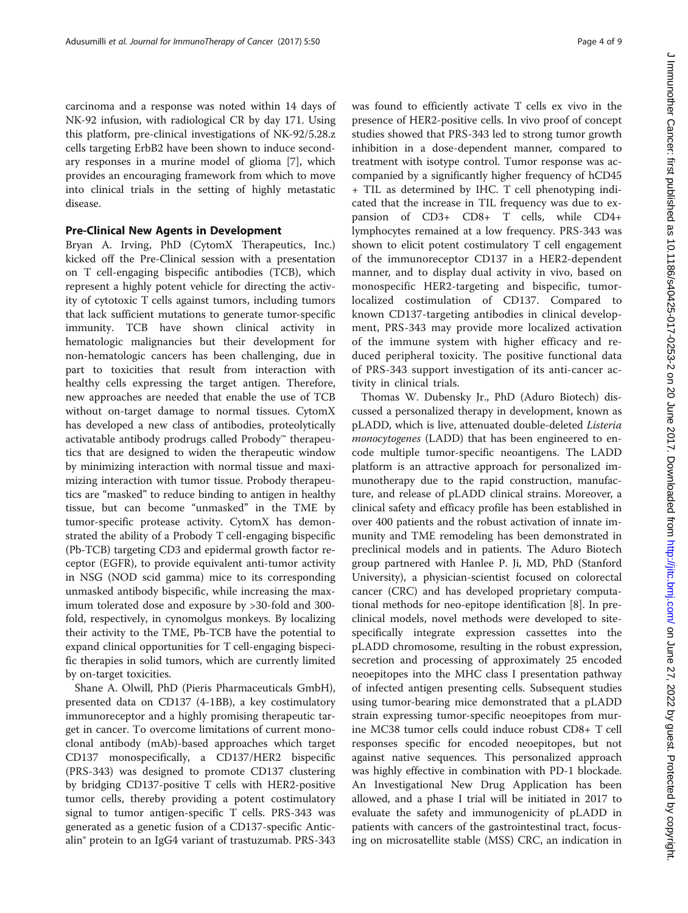carcinoma and a response was noted within 14 days of NK-92 infusion, with radiological CR by day 171. Using this platform, pre-clinical investigations of NK-92/5.28.z cells targeting ErbB2 have been shown to induce secondary responses in a murine model of glioma [\[7](#page-7-0)], which provides an encouraging framework from which to move into clinical trials in the setting of highly metastatic disease.

#### Pre-Clinical New Agents in Development

Bryan A. Irving, PhD (CytomX Therapeutics, Inc.) kicked off the Pre-Clinical session with a presentation on T cell-engaging bispecific antibodies (TCB), which represent a highly potent vehicle for directing the activity of cytotoxic T cells against tumors, including tumors that lack sufficient mutations to generate tumor-specific immunity. TCB have shown clinical activity in hematologic malignancies but their development for non-hematologic cancers has been challenging, due in part to toxicities that result from interaction with healthy cells expressing the target antigen. Therefore, new approaches are needed that enable the use of TCB without on-target damage to normal tissues. CytomX has developed a new class of antibodies, proteolytically activatable antibody prodrugs called Probody™ therapeutics that are designed to widen the therapeutic window by minimizing interaction with normal tissue and maximizing interaction with tumor tissue. Probody therapeutics are "masked" to reduce binding to antigen in healthy tissue, but can become "unmasked" in the TME by tumor-specific protease activity. CytomX has demonstrated the ability of a Probody T cell-engaging bispecific (Pb-TCB) targeting CD3 and epidermal growth factor receptor (EGFR), to provide equivalent anti-tumor activity in NSG (NOD scid gamma) mice to its corresponding unmasked antibody bispecific, while increasing the maximum tolerated dose and exposure by >30-fold and 300 fold, respectively, in cynomolgus monkeys. By localizing their activity to the TME, Pb-TCB have the potential to expand clinical opportunities for T cell-engaging bispecific therapies in solid tumors, which are currently limited by on-target toxicities.

Shane A. Olwill, PhD (Pieris Pharmaceuticals GmbH), presented data on CD137 (4-1BB), a key costimulatory immunoreceptor and a highly promising therapeutic target in cancer. To overcome limitations of current monoclonal antibody (mAb)-based approaches which target CD137 monospecifically, a CD137/HER2 bispecific (PRS-343) was designed to promote CD137 clustering by bridging CD137-positive T cells with HER2-positive tumor cells, thereby providing a potent costimulatory signal to tumor antigen-specific T cells. PRS-343 was generated as a genetic fusion of a CD137-specific Anticalin® protein to an IgG4 variant of trastuzumab. PRS-343 was found to efficiently activate T cells ex vivo in the presence of HER2-positive cells. In vivo proof of concept studies showed that PRS-343 led to strong tumor growth inhibition in a dose-dependent manner, compared to treatment with isotype control. Tumor response was accompanied by a significantly higher frequency of hCD45 + TIL as determined by IHC. T cell phenotyping indicated that the increase in TIL frequency was due to expansion of CD3+ CD8+ T cells, while CD4+ lymphocytes remained at a low frequency. PRS-343 was shown to elicit potent costimulatory T cell engagement of the immunoreceptor CD137 in a HER2-dependent manner, and to display dual activity in vivo, based on monospecific HER2-targeting and bispecific, tumorlocalized costimulation of CD137. Compared to known CD137-targeting antibodies in clinical development, PRS-343 may provide more localized activation of the immune system with higher efficacy and reduced peripheral toxicity. The positive functional data of PRS-343 support investigation of its anti-cancer activity in clinical trials.

Thomas W. Dubensky Jr., PhD (Aduro Biotech) discussed a personalized therapy in development, known as pLADD, which is live, attenuated double-deleted Listeria monocytogenes (LADD) that has been engineered to encode multiple tumor-specific neoantigens. The LADD platform is an attractive approach for personalized immunotherapy due to the rapid construction, manufacture, and release of pLADD clinical strains. Moreover, a clinical safety and efficacy profile has been established in over 400 patients and the robust activation of innate immunity and TME remodeling has been demonstrated in preclinical models and in patients. The Aduro Biotech group partnered with Hanlee P. Ji, MD, PhD (Stanford University), a physician-scientist focused on colorectal cancer (CRC) and has developed proprietary computational methods for neo-epitope identification [\[8](#page-7-0)]. In preclinical models, novel methods were developed to sitespecifically integrate expression cassettes into the pLADD chromosome, resulting in the robust expression, secretion and processing of approximately 25 encoded neoepitopes into the MHC class I presentation pathway of infected antigen presenting cells. Subsequent studies using tumor-bearing mice demonstrated that a pLADD strain expressing tumor-specific neoepitopes from murine MC38 tumor cells could induce robust CD8+ T cell responses specific for encoded neoepitopes, but not against native sequences. This personalized approach was highly effective in combination with PD-1 blockade. An Investigational New Drug Application has been allowed, and a phase I trial will be initiated in 2017 to evaluate the safety and immunogenicity of pLADD in patients with cancers of the gastrointestinal tract, focusing on microsatellite stable (MSS) CRC, an indication in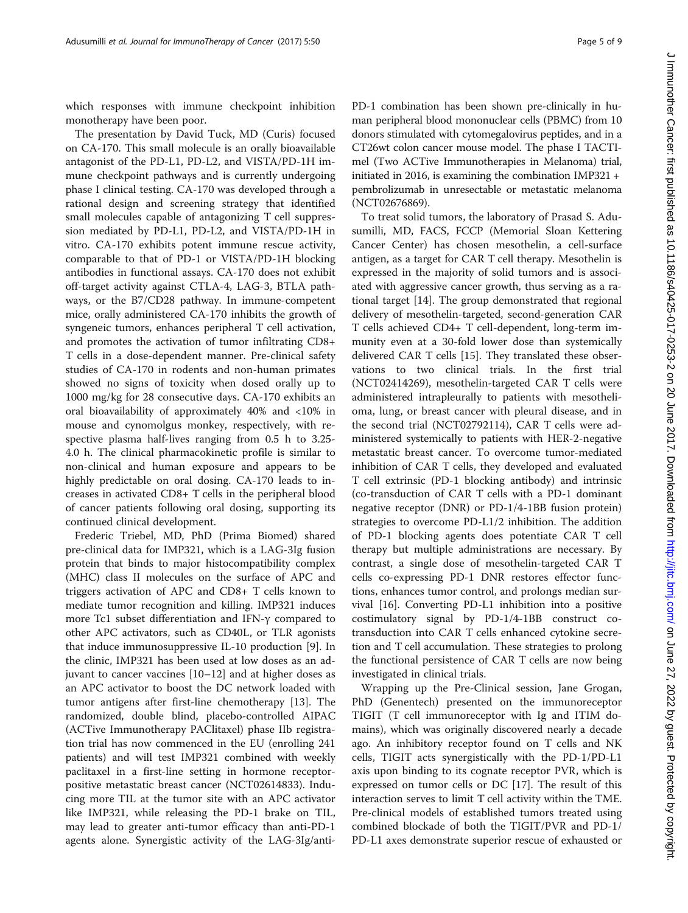which responses with immune checkpoint inhibition monotherapy have been poor.

The presentation by David Tuck, MD (Curis) focused on CA-170. This small molecule is an orally bioavailable antagonist of the PD-L1, PD-L2, and VISTA/PD-1H immune checkpoint pathways and is currently undergoing phase I clinical testing. CA-170 was developed through a rational design and screening strategy that identified small molecules capable of antagonizing T cell suppression mediated by PD-L1, PD-L2, and VISTA/PD-1H in vitro. CA-170 exhibits potent immune rescue activity, comparable to that of PD-1 or VISTA/PD-1H blocking antibodies in functional assays. CA-170 does not exhibit off-target activity against CTLA-4, LAG-3, BTLA pathways, or the B7/CD28 pathway. In immune-competent mice, orally administered CA-170 inhibits the growth of syngeneic tumors, enhances peripheral T cell activation, and promotes the activation of tumor infiltrating CD8+ T cells in a dose-dependent manner. Pre-clinical safety studies of CA-170 in rodents and non-human primates showed no signs of toxicity when dosed orally up to 1000 mg/kg for 28 consecutive days. CA-170 exhibits an oral bioavailability of approximately 40% and <10% in mouse and cynomolgus monkey, respectively, with respective plasma half-lives ranging from 0.5 h to 3.25- 4.0 h. The clinical pharmacokinetic profile is similar to non-clinical and human exposure and appears to be highly predictable on oral dosing. CA-170 leads to increases in activated CD8+ T cells in the peripheral blood of cancer patients following oral dosing, supporting its continued clinical development.

Frederic Triebel, MD, PhD (Prima Biomed) shared pre-clinical data for IMP321, which is a LAG-3Ig fusion protein that binds to major histocompatibility complex (MHC) class II molecules on the surface of APC and triggers activation of APC and CD8+ T cells known to mediate tumor recognition and killing. IMP321 induces more Tc1 subset differentiation and IFN-γ compared to other APC activators, such as CD40L, or TLR agonists that induce immunosuppressive IL-10 production [\[9](#page-7-0)]. In the clinic, IMP321 has been used at low doses as an adjuvant to cancer vaccines [[10](#page-7-0)–[12](#page-7-0)] and at higher doses as an APC activator to boost the DC network loaded with tumor antigens after first-line chemotherapy [\[13](#page-7-0)]. The randomized, double blind, placebo-controlled AIPAC (ACTive Immunotherapy PAClitaxel) phase IIb registration trial has now commenced in the EU (enrolling 241 patients) and will test IMP321 combined with weekly paclitaxel in a first-line setting in hormone receptorpositive metastatic breast cancer (NCT02614833). Inducing more TIL at the tumor site with an APC activator like IMP321, while releasing the PD-1 brake on TIL, may lead to greater anti-tumor efficacy than anti-PD-1 agents alone. Synergistic activity of the LAG-3Ig/antiPD-1 combination has been shown pre-clinically in human peripheral blood mononuclear cells (PBMC) from 10 donors stimulated with cytomegalovirus peptides, and in a CT26wt colon cancer mouse model. The phase I TACTImel (Two ACTive Immunotherapies in Melanoma) trial, initiated in 2016, is examining the combination IMP321 + pembrolizumab in unresectable or metastatic melanoma (NCT02676869).

To treat solid tumors, the laboratory of Prasad S. Adusumilli, MD, FACS, FCCP (Memorial Sloan Kettering Cancer Center) has chosen mesothelin, a cell-surface antigen, as a target for CAR T cell therapy. Mesothelin is expressed in the majority of solid tumors and is associated with aggressive cancer growth, thus serving as a rational target [\[14](#page-8-0)]. The group demonstrated that regional delivery of mesothelin-targeted, second-generation CAR T cells achieved CD4+ T cell-dependent, long-term immunity even at a 30-fold lower dose than systemically delivered CAR T cells [[15\]](#page-8-0). They translated these observations to two clinical trials. In the first trial (NCT02414269), mesothelin-targeted CAR T cells were administered intrapleurally to patients with mesothelioma, lung, or breast cancer with pleural disease, and in the second trial (NCT02792114), CAR T cells were administered systemically to patients with HER-2-negative metastatic breast cancer. To overcome tumor-mediated inhibition of CAR T cells, they developed and evaluated T cell extrinsic (PD-1 blocking antibody) and intrinsic (co-transduction of CAR T cells with a PD-1 dominant negative receptor (DNR) or PD-1/4-1BB fusion protein) strategies to overcome PD-L1/2 inhibition. The addition of PD-1 blocking agents does potentiate CAR T cell therapy but multiple administrations are necessary. By contrast, a single dose of mesothelin-targeted CAR T cells co-expressing PD-1 DNR restores effector functions, enhances tumor control, and prolongs median survival [\[16\]](#page-8-0). Converting PD-L1 inhibition into a positive costimulatory signal by PD-1/4-1BB construct cotransduction into CAR T cells enhanced cytokine secretion and T cell accumulation. These strategies to prolong the functional persistence of CAR T cells are now being investigated in clinical trials.

Wrapping up the Pre-Clinical session, Jane Grogan, PhD (Genentech) presented on the immunoreceptor TIGIT (T cell immunoreceptor with Ig and ITIM domains), which was originally discovered nearly a decade ago. An inhibitory receptor found on T cells and NK cells, TIGIT acts synergistically with the PD-1/PD-L1 axis upon binding to its cognate receptor PVR, which is expressed on tumor cells or DC [[17](#page-8-0)]. The result of this interaction serves to limit T cell activity within the TME. Pre-clinical models of established tumors treated using combined blockade of both the TIGIT/PVR and PD-1/ PD-L1 axes demonstrate superior rescue of exhausted or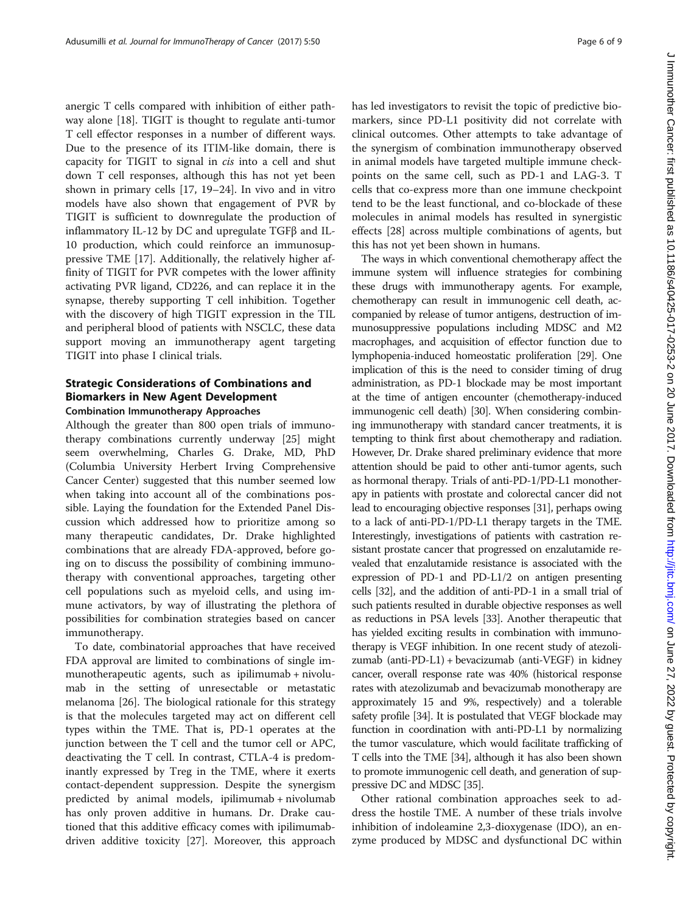anergic T cells compared with inhibition of either pathway alone [\[18\]](#page-8-0). TIGIT is thought to regulate anti-tumor T cell effector responses in a number of different ways. Due to the presence of its ITIM-like domain, there is capacity for TIGIT to signal in cis into a cell and shut down T cell responses, although this has not yet been shown in primary cells [[17](#page-8-0), [19](#page-8-0)–[24\]](#page-8-0). In vivo and in vitro models have also shown that engagement of PVR by TIGIT is sufficient to downregulate the production of inflammatory IL-12 by DC and upregulate TGFβ and IL-10 production, which could reinforce an immunosuppressive TME [[17](#page-8-0)]. Additionally, the relatively higher affinity of TIGIT for PVR competes with the lower affinity activating PVR ligand, CD226, and can replace it in the synapse, thereby supporting T cell inhibition. Together with the discovery of high TIGIT expression in the TIL and peripheral blood of patients with NSCLC, these data support moving an immunotherapy agent targeting TIGIT into phase I clinical trials.

### Strategic Considerations of Combinations and Biomarkers in New Agent Development Combination Immunotherapy Approaches

Although the greater than 800 open trials of immunotherapy combinations currently underway [\[25](#page-8-0)] might seem overwhelming, Charles G. Drake, MD, PhD (Columbia University Herbert Irving Comprehensive Cancer Center) suggested that this number seemed low when taking into account all of the combinations possible. Laying the foundation for the Extended Panel Discussion which addressed how to prioritize among so many therapeutic candidates, Dr. Drake highlighted combinations that are already FDA-approved, before going on to discuss the possibility of combining immunotherapy with conventional approaches, targeting other cell populations such as myeloid cells, and using immune activators, by way of illustrating the plethora of possibilities for combination strategies based on cancer immunotherapy.

To date, combinatorial approaches that have received FDA approval are limited to combinations of single immunotherapeutic agents, such as ipilimumab + nivolumab in the setting of unresectable or metastatic melanoma [[26\]](#page-8-0). The biological rationale for this strategy is that the molecules targeted may act on different cell types within the TME. That is, PD-1 operates at the junction between the T cell and the tumor cell or APC, deactivating the T cell. In contrast, CTLA-4 is predominantly expressed by Treg in the TME, where it exerts contact-dependent suppression. Despite the synergism predicted by animal models, ipilimumab + nivolumab has only proven additive in humans. Dr. Drake cautioned that this additive efficacy comes with ipilimumabdriven additive toxicity [[27](#page-8-0)]. Moreover, this approach has led investigators to revisit the topic of predictive biomarkers, since PD-L1 positivity did not correlate with clinical outcomes. Other attempts to take advantage of the synergism of combination immunotherapy observed in animal models have targeted multiple immune checkpoints on the same cell, such as PD-1 and LAG-3. T cells that co-express more than one immune checkpoint tend to be the least functional, and co-blockade of these molecules in animal models has resulted in synergistic effects [[28\]](#page-8-0) across multiple combinations of agents, but this has not yet been shown in humans.

The ways in which conventional chemotherapy affect the immune system will influence strategies for combining these drugs with immunotherapy agents. For example, chemotherapy can result in immunogenic cell death, accompanied by release of tumor antigens, destruction of immunosuppressive populations including MDSC and M2 macrophages, and acquisition of effector function due to lymphopenia-induced homeostatic proliferation [[29\]](#page-8-0). One implication of this is the need to consider timing of drug administration, as PD-1 blockade may be most important at the time of antigen encounter (chemotherapy-induced immunogenic cell death) [[30\]](#page-8-0). When considering combining immunotherapy with standard cancer treatments, it is tempting to think first about chemotherapy and radiation. However, Dr. Drake shared preliminary evidence that more attention should be paid to other anti-tumor agents, such as hormonal therapy. Trials of anti-PD-1/PD-L1 monotherapy in patients with prostate and colorectal cancer did not lead to encouraging objective responses [[31\]](#page-8-0), perhaps owing to a lack of anti-PD-1/PD-L1 therapy targets in the TME. Interestingly, investigations of patients with castration resistant prostate cancer that progressed on enzalutamide revealed that enzalutamide resistance is associated with the expression of PD-1 and PD-L1/2 on antigen presenting cells [\[32](#page-8-0)], and the addition of anti-PD-1 in a small trial of such patients resulted in durable objective responses as well as reductions in PSA levels [\[33](#page-8-0)]. Another therapeutic that has yielded exciting results in combination with immunotherapy is VEGF inhibition. In one recent study of atezolizumab (anti-PD-L1) + bevacizumab (anti-VEGF) in kidney cancer, overall response rate was 40% (historical response rates with atezolizumab and bevacizumab monotherapy are approximately 15 and 9%, respectively) and a tolerable safety profile [[34\]](#page-8-0). It is postulated that VEGF blockade may function in coordination with anti-PD-L1 by normalizing the tumor vasculature, which would facilitate trafficking of T cells into the TME [\[34\]](#page-8-0), although it has also been shown to promote immunogenic cell death, and generation of suppressive DC and MDSC [\[35\]](#page-8-0).

Other rational combination approaches seek to address the hostile TME. A number of these trials involve inhibition of indoleamine 2,3-dioxygenase (IDO), an enzyme produced by MDSC and dysfunctional DC within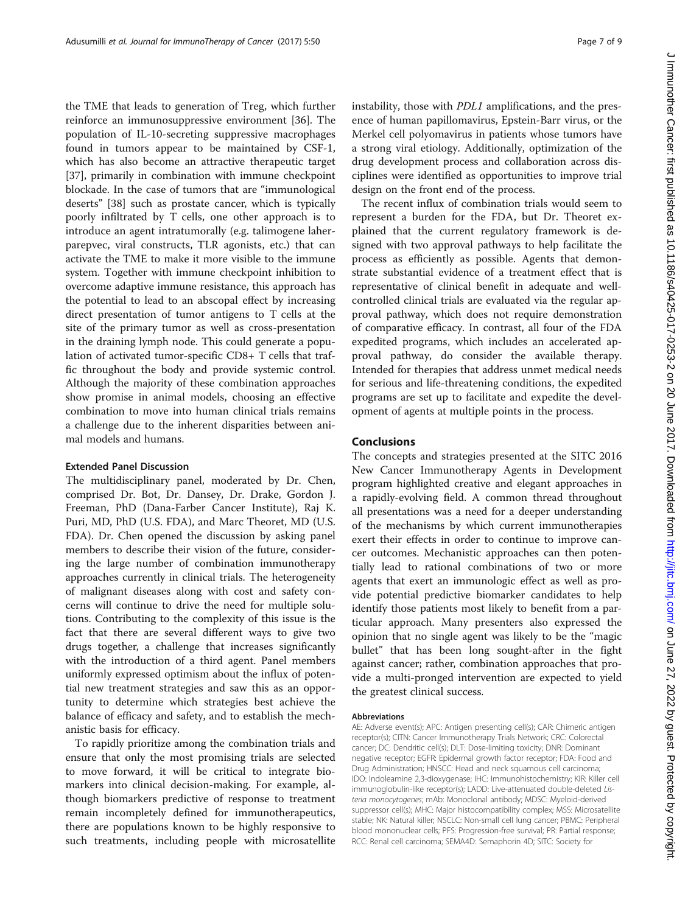the TME that leads to generation of Treg, which further reinforce an immunosuppressive environment [\[36](#page-8-0)]. The population of IL-10-secreting suppressive macrophages found in tumors appear to be maintained by CSF-1, which has also become an attractive therapeutic target [[37\]](#page-8-0), primarily in combination with immune checkpoint blockade. In the case of tumors that are "immunological deserts" [\[38\]](#page-8-0) such as prostate cancer, which is typically poorly infiltrated by T cells, one other approach is to introduce an agent intratumorally (e.g. talimogene laherparepvec, viral constructs, TLR agonists, etc.) that can activate the TME to make it more visible to the immune system. Together with immune checkpoint inhibition to overcome adaptive immune resistance, this approach has the potential to lead to an abscopal effect by increasing direct presentation of tumor antigens to T cells at the site of the primary tumor as well as cross-presentation in the draining lymph node. This could generate a population of activated tumor-specific CD8+ T cells that traffic throughout the body and provide systemic control. Although the majority of these combination approaches show promise in animal models, choosing an effective combination to move into human clinical trials remains a challenge due to the inherent disparities between animal models and humans.

#### Extended Panel Discussion

The multidisciplinary panel, moderated by Dr. Chen, comprised Dr. Bot, Dr. Dansey, Dr. Drake, Gordon J. Freeman, PhD (Dana-Farber Cancer Institute), Raj K. Puri, MD, PhD (U.S. FDA), and Marc Theoret, MD (U.S. FDA). Dr. Chen opened the discussion by asking panel members to describe their vision of the future, considering the large number of combination immunotherapy approaches currently in clinical trials. The heterogeneity of malignant diseases along with cost and safety concerns will continue to drive the need for multiple solutions. Contributing to the complexity of this issue is the fact that there are several different ways to give two drugs together, a challenge that increases significantly with the introduction of a third agent. Panel members uniformly expressed optimism about the influx of potential new treatment strategies and saw this as an opportunity to determine which strategies best achieve the balance of efficacy and safety, and to establish the mechanistic basis for efficacy.

To rapidly prioritize among the combination trials and ensure that only the most promising trials are selected to move forward, it will be critical to integrate biomarkers into clinical decision-making. For example, although biomarkers predictive of response to treatment remain incompletely defined for immunotherapeutics, there are populations known to be highly responsive to such treatments, including people with microsatellite

instability, those with PDL1 amplifications, and the presence of human papillomavirus, Epstein-Barr virus, or the Merkel cell polyomavirus in patients whose tumors have a strong viral etiology. Additionally, optimization of the drug development process and collaboration across disciplines were identified as opportunities to improve trial design on the front end of the process. The recent influx of combination trials would seem to represent a burden for the FDA, but Dr. Theoret ex-

plained that the current regulatory framework is designed with two approval pathways to help facilitate the process as efficiently as possible. Agents that demonstrate substantial evidence of a treatment effect that is representative of clinical benefit in adequate and wellcontrolled clinical trials are evaluated via the regular approval pathway, which does not require demonstration of comparative efficacy. In contrast, all four of the FDA expedited programs, which includes an accelerated approval pathway, do consider the available therapy. Intended for therapies that address unmet medical needs for serious and life-threatening conditions, the expedited programs are set up to facilitate and expedite the development of agents at multiple points in the process.

#### Conclusions

The concepts and strategies presented at the SITC 2016 New Cancer Immunotherapy Agents in Development program highlighted creative and elegant approaches in a rapidly-evolving field. A common thread throughout all presentations was a need for a deeper understanding of the mechanisms by which current immunotherapies exert their effects in order to continue to improve cancer outcomes. Mechanistic approaches can then potentially lead to rational combinations of two or more agents that exert an immunologic effect as well as provide potential predictive biomarker candidates to help identify those patients most likely to benefit from a particular approach. Many presenters also expressed the opinion that no single agent was likely to be the "magic bullet" that has been long sought-after in the fight against cancer; rather, combination approaches that provide a multi-pronged intervention are expected to yield the greatest clinical success.

#### Abbreviations

AE: Adverse event(s); APC: Antigen presenting cell(s); CAR: Chimeric antigen receptor(s); CITN: Cancer Immunotherapy Trials Network; CRC: Colorectal cancer; DC: Dendritic cell(s); DLT: Dose-limiting toxicity; DNR: Dominant negative receptor; EGFR: Epidermal growth factor receptor; FDA: Food and Drug Administration; HNSCC: Head and neck squamous cell carcinoma; IDO: Indoleamine 2,3-dioxygenase; IHC: Immunohistochemistry; KIR: Killer cell immunoglobulin-like receptor(s); LADD: Live-attenuated double-deleted Listeria monocytogenes; mAb: Monoclonal antibody; MDSC: Myeloid-derived suppressor cell(s); MHC: Major histocompatibility complex; MSS: Microsatellite stable; NK: Natural killer; NSCLC: Non-small cell lung cancer; PBMC: Peripheral blood mononuclear cells; PFS: Progression-free survival; PR: Partial response; RCC: Renal cell carcinoma; SEMA4D: Semaphorin 4D; SITC: Society for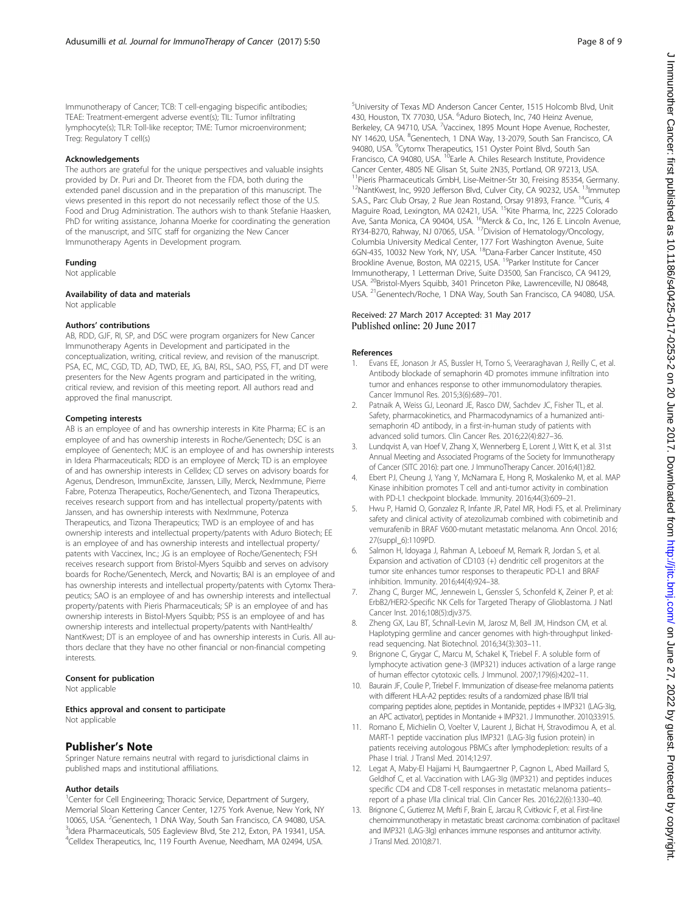<span id="page-7-0"></span>Immunotherapy of Cancer; TCB: T cell-engaging bispecific antibodies; TEAE: Treatment-emergent adverse event(s); TIL: Tumor infiltrating lymphocyte(s); TLR: Toll-like receptor; TME: Tumor microenvironment; Treg: Regulatory T cell(s)

#### Acknowledgements

The authors are grateful for the unique perspectives and valuable insights provided by Dr. Puri and Dr. Theoret from the FDA, both during the extended panel discussion and in the preparation of this manuscript. The views presented in this report do not necessarily reflect those of the U.S. Food and Drug Administration. The authors wish to thank Stefanie Haasken, PhD for writing assistance, Johanna Moerke for coordinating the generation of the manuscript, and SITC staff for organizing the New Cancer Immunotherapy Agents in Development program.

#### Funding

Not applicable

#### Availability of data and materials

Not applicable

#### Authors' contributions

AB, RDD, GJF, RI, SP, and DSC were program organizers for New Cancer Immunotherapy Agents in Development and participated in the conceptualization, writing, critical review, and revision of the manuscript. PSA, EC, MC, CGD, TD, AD, TWD, EE, JG, BAI, RSL, SAO, PSS, FT, and DT were presenters for the New Agents program and participated in the writing, critical review, and revision of this meeting report. All authors read and approved the final manuscript.

#### Competing interests

AB is an employee of and has ownership interests in Kite Pharma; EC is an employee of and has ownership interests in Roche/Genentech; DSC is an employee of Genentech; MJC is an employee of and has ownership interests in Idera Pharmaceuticals; RDD is an employee of Merck; TD is an employee of and has ownership interests in Celldex; CD serves on advisory boards for Agenus, Dendreson, ImmunExcite, Janssen, Lilly, Merck, NexImmune, Pierre Fabre, Potenza Therapeutics, Roche/Genentech, and Tizona Therapeutics, receives research support from and has intellectual property/patents with Janssen, and has ownership interests with NexImmune, Potenza Therapeutics, and Tizona Therapeutics; TWD is an employee of and has ownership interests and intellectual property/patents with Aduro Biotech; EE is an employee of and has ownership interests and intellectual property/ patents with Vaccinex, Inc.; JG is an employee of Roche/Genentech; FSH receives research support from Bristol-Myers Squibb and serves on advisory boards for Roche/Genentech, Merck, and Novartis; BAI is an employee of and has ownership interests and intellectual property/patents with Cytomx Therapeutics; SAO is an employee of and has ownership interests and intellectual property/patents with Pieris Pharmaceuticals; SP is an employee of and has ownership interests in Bistol-Myers Squibb; PSS is an employee of and has ownership interests and intellectual property/patents with NantHealth/ NantKwest; DT is an employee of and has ownership interests in Curis. All authors declare that they have no other financial or non-financial competing interests.

#### Consent for publication

Not applicable

#### Ethics approval and consent to participate

Not applicable

#### Publisher's Note

Springer Nature remains neutral with regard to jurisdictional claims in published maps and institutional affiliations.

#### Author details

<sup>1</sup>Center for Cell Engineering; Thoracic Service, Department of Surgery, Memorial Sloan Kettering Cancer Center, 1275 York Avenue, New York, NY 10065, USA. <sup>2</sup>Genentech, 1 DNA Way, South San Francisco, CA 94080, USA.<br><sup>3</sup>Idera Pharmacouticals, 505 Fagloviow, Rhyd, Sto 212, Exten, PA 19341, USA. <sup>3</sup>Idera Pharmaceuticals, 505 Eagleview Blvd, Ste 212, Exton, PA 19341, USA. 4 Celldex Therapeutics, Inc, 119 Fourth Avenue, Needham, MA 02494, USA.

5 University of Texas MD Anderson Cancer Center, 1515 Holcomb Blvd, Unit 430, Houston, TX 77030, USA. <sup>6</sup>Aduro Biotech, Inc, 740 Heinz Avenue, Berkeley, CA 94710, USA. <sup>7</sup>Vaccinex, 1895 Mount Hope Avenue, Rochester, NY 14620, USA. <sup>8</sup>Genentech, 1 DNA Way, 13-2079, South San Francisco, CA 94080, USA. <sup>9</sup>Cytomx Therapeutics, 151 Oyster Point Blvd, South San Francisco, CA 94080, USA. <sup>10</sup>Earle A. Chiles Research Institute, Providence Cancer Center, 4805 NE Glisan St, Suite 2N35, Portland, OR 97213, USA. <sup>11</sup>Pieris Pharmaceuticals GmbH, Lise-Meitner-Str 30, Freising 85354, Germany. <sup>12</sup>NantKwest, Inc, 9920 Jefferson Blvd, Culver City, CA 90232, USA. <sup>13</sup>Immutep S.A.S., Parc Club Orsay, 2 Rue Jean Rostand, Orsay 91893, France. 14Curis, 4 Maguire Road, Lexington, MA 02421, USA. 15Kite Pharma, Inc, 2225 Colorado Ave, Santa Monica, CA 90404, USA. <sup>16</sup>Merck & Co., Inc, 126 E. Lincoln Avenue, RY34-B270, Rahway, NJ 07065, USA. 17Division of Hematology/Oncology, Columbia University Medical Center, 177 Fort Washington Avenue, Suite 6GN-435, 10032 New York, NY, USA. 18Dana-Farber Cancer Institute, 450 Brookline Avenue, Boston, MA 02215, USA. <sup>19</sup>Parker Institute for Cancer Immunotherapy, 1 Letterman Drive, Suite D3500, San Francisco, CA 94129, USA. 20Bristol-Myers Squibb, 3401 Princeton Pike, Lawrenceville, NJ 08648, USA. 21Genentech/Roche, 1 DNA Way, South San Francisco, CA 94080, USA.

#### Received: 27 March 2017 Accepted: 31 May 2017 Published online: 20 June 2017

#### References

- 1. Evans EE, Jonason Jr AS, Bussler H, Torno S, Veeraraghavan J, Reilly C, et al. Antibody blockade of semaphorin 4D promotes immune infiltration into tumor and enhances response to other immunomodulatory therapies. Cancer Immunol Res. 2015;3(6):689–701.
- 2. Patnaik A, Weiss GJ, Leonard JE, Rasco DW, Sachdev JC, Fisher TL, et al. Safety, pharmacokinetics, and Pharmacodynamics of a humanized antisemaphorin 4D antibody, in a first-in-human study of patients with advanced solid tumors. Clin Cancer Res. 2016;22(4):827–36.
- 3. Lundqvist A, van Hoef V, Zhang X, Wennerberg E, Lorent J, Witt K, et al. 31st Annual Meeting and Associated Programs of the Society for Immunotherapy of Cancer (SITC 2016): part one. J ImmunoTherapy Cancer. 2016;4(1):82.
- 4. Ebert PJ, Cheung J, Yang Y, McNamara E, Hong R, Moskalenko M, et al. MAP Kinase inhibition promotes T cell and anti-tumor activity in combination with PD-L1 checkpoint blockade. Immunity. 2016;44(3):609–21.
- 5. Hwu P, Hamid O, Gonzalez R, Infante JR, Patel MR, Hodi FS, et al. Preliminary safety and clinical activity of atezolizumab combined with cobimetinib and vemurafenib in BRAF V600-mutant metastatic melanoma. Ann Oncol. 2016; 27(suppl\_6):1109PD.
- 6. Salmon H, Idoyaga J, Rahman A, Leboeuf M, Remark R, Jordan S, et al. Expansion and activation of CD103 (+) dendritic cell progenitors at the tumor site enhances tumor responses to therapeutic PD-L1 and BRAF inhibition. Immunity. 2016;44(4):924–38.
- 7. Zhang C, Burger MC, Jennewein L, Genssler S, Schonfeld K, Zeiner P, et al: ErbB2/HER2-Specific NK Cells for Targeted Therapy of Glioblastoma. J Natl Cancer Inst. 2016;108(5):djv375.
- 8. Zheng GX, Lau BT, Schnall-Levin M, Jarosz M, Bell JM, Hindson CM, et al. Haplotyping germline and cancer genomes with high-throughput linkedread sequencing. Nat Biotechnol. 2016;34(3):303–11.
- 9. Brignone C, Grygar C, Marcu M, Schakel K, Triebel F. A soluble form of lymphocyte activation gene-3 (IMP321) induces activation of a large range of human effector cytotoxic cells. J Immunol. 2007;179(6):4202–11.
- 10. Baurain JF, Coulie P, Triebel F. Immunization of disease-free melanoma patients with different HLA-A2 peptides: results of a randomized phase IB/II trial comparing peptides alone, peptides in Montanide, peptides + IMP321 (LAG-3Ig, an APC activator), peptides in Montanide + IMP321. J Immunother. 2010;33:915.
- 11. Romano E, Michielin O, Voelter V, Laurent J, Bichat H, Stravodimou A, et al. MART-1 peptide vaccination plus IMP321 (LAG-3Ig fusion protein) in patients receiving autologous PBMCs after lymphodepletion: results of a Phase I trial. J Transl Med. 2014;12:97.
- 12. Legat A, Maby-El Hajjami H, Baumgaertner P, Cagnon L, Abed Maillard S, Geldhof C, et al. Vaccination with LAG-3Ig (IMP321) and peptides induces specific CD4 and CD8 T-cell responses in metastatic melanoma patients– report of a phase I/IIa clinical trial. Clin Cancer Res. 2016;22(6):1330–40.
- 13. Brignone C, Gutierrez M, Mefti F, Brain E, Jarcau R, Cvitkovic F, et al. First-line chemoimmunotherapy in metastatic breast carcinoma: combination of paclitaxel and IMP321 (LAG-3Ig) enhances immune responses and antitumor activity. J Transl Med. 2010;8:71.